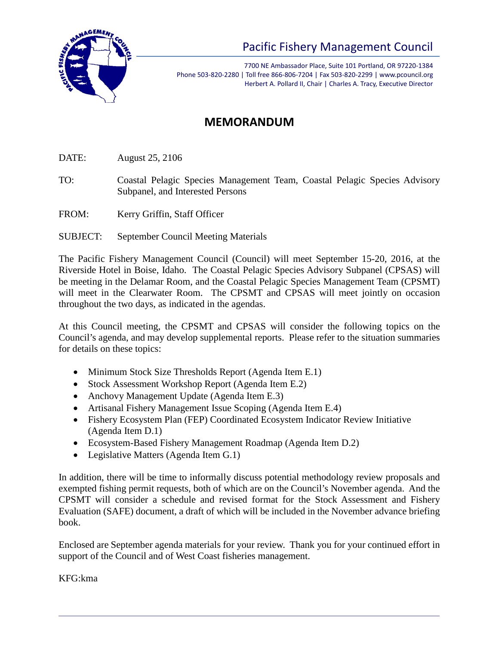

## Pacific Fishery Management Council

7700 NE Ambassador Place, Suite 101 Portland, OR 97220-1384 Phone 503-820-2280 | Toll free 866-806-7204 | Fax 503-820-2299 | www.pcouncil.org Herbert A. Pollard II, Chair | Charles A. Tracy, Executive Director

## **MEMORANDUM**

DATE: August 25, 2106

TO: Coastal Pelagic Species Management Team, Coastal Pelagic Species Advisory Subpanel, and Interested Persons

FROM: Kerry Griffin, Staff Officer

SUBJECT: September Council Meeting Materials

The Pacific Fishery Management Council (Council) will meet September 15-20, 2016, at the Riverside Hotel in Boise, Idaho. The Coastal Pelagic Species Advisory Subpanel (CPSAS) will be meeting in the Delamar Room, and the Coastal Pelagic Species Management Team (CPSMT) will meet in the Clearwater Room. The CPSMT and CPSAS will meet jointly on occasion throughout the two days, as indicated in the agendas.

At this Council meeting, the CPSMT and CPSAS will consider the following topics on the Council's agenda, and may develop supplemental reports. Please refer to the situation summaries for details on these topics:

- Minimum Stock Size Thresholds Report (Agenda Item E.1)
- Stock Assessment Workshop Report (Agenda Item E.2)
- Anchovy Management Update (Agenda Item E.3)
- Artisanal Fishery Management Issue Scoping (Agenda Item E.4)
- Fishery Ecosystem Plan (FEP) Coordinated Ecosystem Indicator Review Initiative (Agenda Item D.1)
- Ecosystem-Based Fishery Management Roadmap (Agenda Item D.2)
- Legislative Matters (Agenda Item G.1)

In addition, there will be time to informally discuss potential methodology review proposals and exempted fishing permit requests, both of which are on the Council's November agenda. And the CPSMT will consider a schedule and revised format for the Stock Assessment and Fishery Evaluation (SAFE) document, a draft of which will be included in the November advance briefing book.

Enclosed are September agenda materials for your review. Thank you for your continued effort in support of the Council and of West Coast fisheries management.

KFG:kma